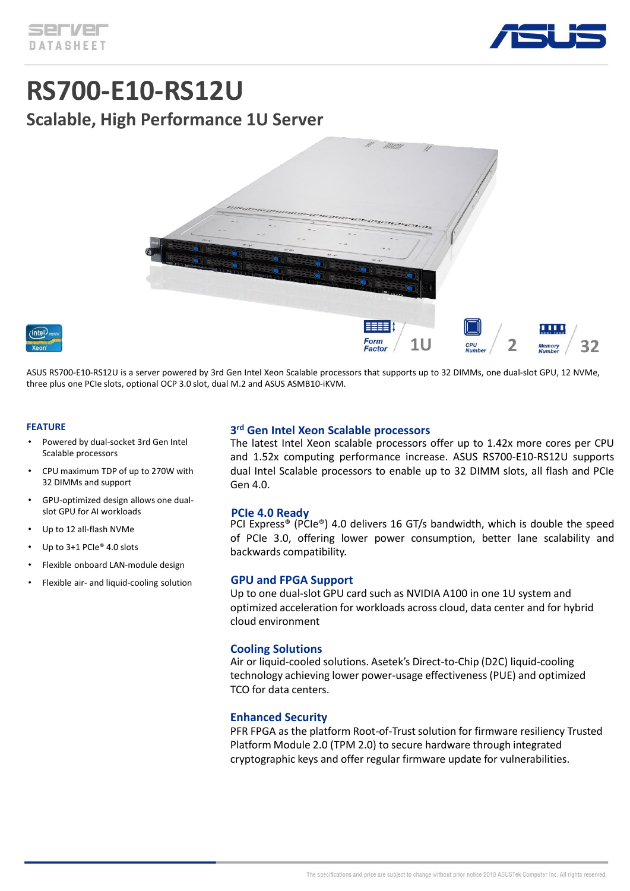

# **RS700-E10-RS12U Scalable, High Performance 1U Server**



ASUS RS700-E10-RS12U is a server powered by 3rd Gen Intel Xeon Scalable processors that supports up to 32 DIMMs, one dual-slot GPU, 12 NVMe, three plus one PCIe slots, optional OCP 3.0 slot, dual M.2 and ASUS ASMB10-iKVM.

#### **FEATURE**

- Powered by dual-socket 3rd Gen Intel Scalable processors
- CPU maximum TDP of up to 270W with 32 DIMMs and support
- GPU-optimized design allows one dualslot GPU for AI workloads
- Up to 12 all-flash NVMe
- Up to 3+1 PCIe® 4.0 slots
- Flexible onboard LAN-module design
- Flexible air- and liquid-cooling solution

#### **3 rd Gen Intel Xeon Scalable processors**

The latest Intel Xeon scalable processors offer up to 1.42x more cores per CPU and 1.52x computing performance increase. ASUS RS700-E10-RS12U supports dual Intel Scalable processors to enable up to 32 DIMM slots, all flash and PCIe Gen 4.0.

#### **PCIe 4.0 Ready**

PCI Express® (PCIe®) 4.0 delivers 16 GT/s bandwidth, which is double the speed of PCIe 3.0, offering lower power consumption, better lane scalability and backwards compatibility.

#### **GPU and FPGA Support**

Up to one dual-slot GPU card such as NVIDIA A100 in one 1U system and optimized acceleration for workloads across cloud, data center and for hybrid cloud environment

#### **Cooling Solutions**

Air or liquid-cooled solutions. Asetek's Direct-to-Chip (D2C) liquid-cooling technology achieving lower power-usage effectiveness (PUE) and optimized TCO for data centers.

#### **Enhanced Security**

PFR FPGA as the platform Root-of-Trust solution for firmware resiliency Trusted Platform Module 2.0 (TPM 2.0) to secure hardware through integrated cryptographic keys and offer regular firmware update for vulnerabilities.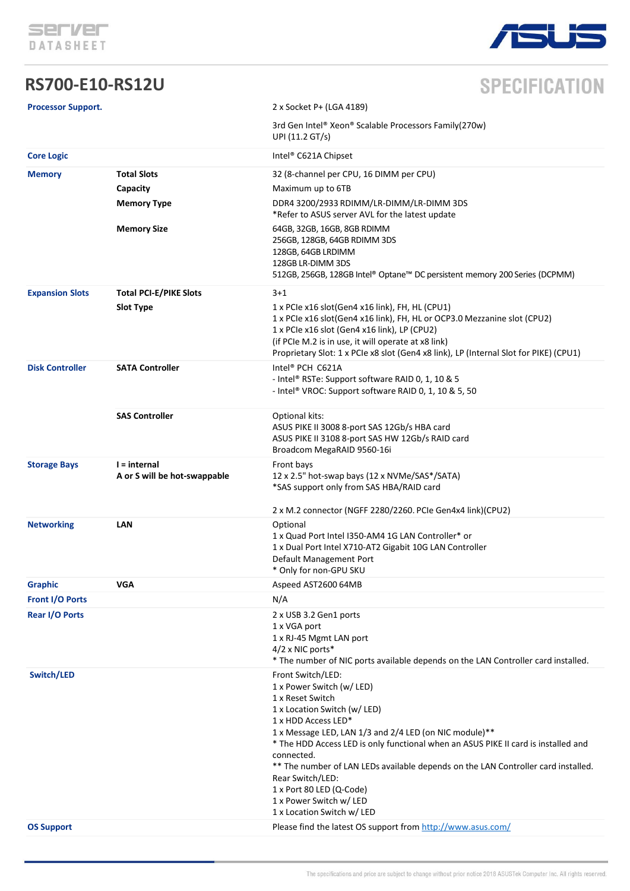

### **RS700-E10-RS12U**



## **SPECIFICATION**

| <b>Processor Support.</b>       |                                                                            | 2 x Socket P+ (LGA 4189)                                                                                                                                                                                                                                                                                                                                                                                                                                                                                                                             |
|---------------------------------|----------------------------------------------------------------------------|------------------------------------------------------------------------------------------------------------------------------------------------------------------------------------------------------------------------------------------------------------------------------------------------------------------------------------------------------------------------------------------------------------------------------------------------------------------------------------------------------------------------------------------------------|
|                                 |                                                                            | 3rd Gen Intel® Xeon® Scalable Processors Family(270w)<br>UPI (11.2 GT/s)                                                                                                                                                                                                                                                                                                                                                                                                                                                                             |
| <b>Core Logic</b>               |                                                                            | Intel <sup>®</sup> C621A Chipset                                                                                                                                                                                                                                                                                                                                                                                                                                                                                                                     |
| <b>Memory</b>                   | <b>Total Slots</b><br>Capacity<br><b>Memory Type</b><br><b>Memory Size</b> | 32 (8-channel per CPU, 16 DIMM per CPU)<br>Maximum up to 6TB<br>DDR4 3200/2933 RDIMM/LR-DIMM/LR-DIMM 3DS<br>*Refer to ASUS server AVL for the latest update<br>64GB, 32GB, 16GB, 8GB RDIMM<br>256GB, 128GB, 64GB RDIMM 3DS<br>128GB, 64GB LRDIMM<br>128GB LR-DIMM 3DS                                                                                                                                                                                                                                                                                |
|                                 |                                                                            | 512GB, 256GB, 128GB Intel® Optane™ DC persistent memory 200 Series (DCPMM)                                                                                                                                                                                                                                                                                                                                                                                                                                                                           |
| <b>Expansion Slots</b>          | <b>Total PCI-E/PIKE Slots</b><br><b>Slot Type</b>                          | $3+1$<br>1 x PCIe x16 slot(Gen4 x16 link), FH, HL (CPU1)<br>1 x PCIe x16 slot(Gen4 x16 link), FH, HL or OCP3.0 Mezzanine slot (CPU2)<br>1 x PCIe x16 slot (Gen4 x16 link), LP (CPU2)<br>(if PCIe M.2 is in use, it will operate at x8 link)<br>Proprietary Slot: 1 x PCIe x8 slot (Gen4 x8 link), LP (Internal Slot for PIKE) (CPU1)                                                                                                                                                                                                                 |
| <b>Disk Controller</b>          | <b>SATA Controller</b>                                                     | Intel <sup>®</sup> PCH C621A<br>- Intel® RSTe: Support software RAID 0, 1, 10 & 5<br>- Intel® VROC: Support software RAID 0, 1, 10 & 5, 50                                                                                                                                                                                                                                                                                                                                                                                                           |
|                                 | <b>SAS Controller</b>                                                      | Optional kits:<br>ASUS PIKE II 3008 8-port SAS 12Gb/s HBA card<br>ASUS PIKE II 3108 8-port SAS HW 12Gb/s RAID card<br>Broadcom MegaRAID 9560-16i                                                                                                                                                                                                                                                                                                                                                                                                     |
| <b>Storage Bays</b>             | I = internal<br>A or S will be hot-swappable                               | Front bays<br>12 x 2.5" hot-swap bays (12 x NVMe/SAS*/SATA)<br>*SAS support only from SAS HBA/RAID card                                                                                                                                                                                                                                                                                                                                                                                                                                              |
| <b>Networking</b>               | <b>LAN</b>                                                                 | 2 x M.2 connector (NGFF 2280/2260. PCIe Gen4x4 link)(CPU2)<br>Optional<br>1 x Quad Port Intel I350-AM4 1G LAN Controller* or<br>1 x Dual Port Intel X710-AT2 Gigabit 10G LAN Controller<br>Default Management Port<br>* Only for non-GPU SKU                                                                                                                                                                                                                                                                                                         |
| <b>Graphic</b>                  | <b>VGA</b>                                                                 | Aspeed AST2600 64MB                                                                                                                                                                                                                                                                                                                                                                                                                                                                                                                                  |
| <b>Front I/O Ports</b>          |                                                                            | N/A                                                                                                                                                                                                                                                                                                                                                                                                                                                                                                                                                  |
| <b>Rear I/O Ports</b>           |                                                                            | 2 x USB 3.2 Gen1 ports<br>1 x VGA port<br>1 x RJ-45 Mgmt LAN port<br>4/2 x NIC ports*<br>* The number of NIC ports available depends on the LAN Controller card installed.                                                                                                                                                                                                                                                                                                                                                                           |
| Switch/LED<br><b>OS Support</b> |                                                                            | Front Switch/LED:<br>1 x Power Switch (w/ LED)<br>1 x Reset Switch<br>1 x Location Switch (w/ LED)<br>1 x HDD Access LED*<br>1 x Message LED, LAN 1/3 and 2/4 LED (on NIC module)**<br>* The HDD Access LED is only functional when an ASUS PIKE II card is installed and<br>connected.<br>** The number of LAN LEDs available depends on the LAN Controller card installed.<br>Rear Switch/LED:<br>1 x Port 80 LED (Q-Code)<br>1 x Power Switch w/ LED<br>1 x Location Switch w/ LED<br>Please find the latest OS support from http://www.asus.com/ |
|                                 |                                                                            |                                                                                                                                                                                                                                                                                                                                                                                                                                                                                                                                                      |